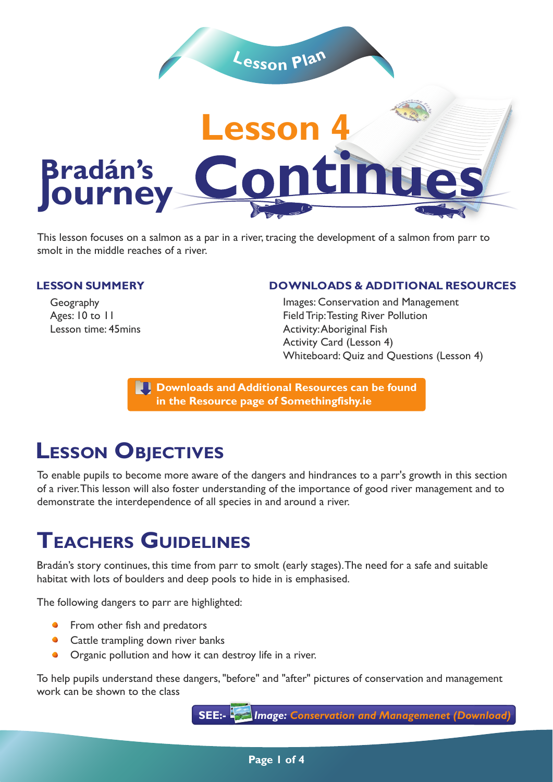

This lesson focuses on a salmon as a par in a river, tracing the development of a salmon from parr to smolt in the middle reaches of a river.

#### **LESSON SUMMERY**

Geography Ages: 10 to 11 Lesson time: 45mins

#### **DOWNLOADS & ADDITIONAL RESOURCES**

Images: Conservation and Management Field Trip: Testing River Pollution Activity: Aboriginal Fish Activity Card (Lesson 4) Whiteboard: Quiz and Questions (Lesson 4)

**Downloads and Additional Resources can be found in the Resource page of Somethingfishy.ie** 

# **LESSON OBJECTIVES**

To enable pupils to become more aware of the dangers and hindrances to a parr's growth in this section of a river. This lesson will also foster understanding of the importance of good river management and to demonstrate the interdependence of all species in and around a river.

# **TEACHERS GUIDELINES**

Bradán's story continues, this time from parr to smolt (early stages). The need for a safe and suitable habitat with lots of boulders and deep pools to hide in is emphasised.

The following dangers to parr are highlighted:

- **•** From other fish and predators
- Cattle trampling down river banks
- **•** Organic pollution and how it can destroy life in a river.

To help pupils understand these dangers, "before" and "after" pictures of conservation and management work can be shown to the class

**SEE:-** *Image: Conservation and Managemenet (Download)*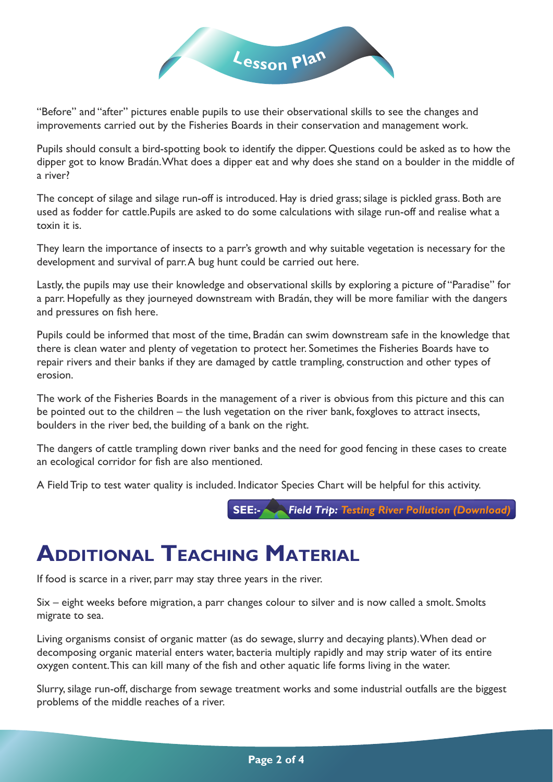

"Before" and "after" pictures enable pupils to use their observational skills to see the changes and improvements carried out by the Fisheries Boards in their conservation and management work.

Pupils should consult a bird-spotting book to identify the dipper. Questions could be asked as to how the dipper got to know Bradán. What does a dipper eat and why does she stand on a boulder in the middle of a river?

The concept of silage and silage run-off is introduced. Hay is dried grass; silage is pickled grass. Both are used as fodder for cattle.Pupils are asked to do some calculations with silage run-off and realise what a toxin it is.

They learn the importance of insects to a parr's growth and why suitable vegetation is necessary for the development and survival of parr. A bug hunt could be carried out here.

Lastly, the pupils may use their knowledge and observational skills by exploring a picture of "Paradise" for a parr. Hopefully as they journeyed downstream with Bradán, they will be more familiar with the dangers and pressures on fish here.

Pupils could be informed that most of the time, Bradán can swim downstream safe in the knowledge that there is clean water and plenty of vegetation to protect her. Sometimes the Fisheries Boards have to repair rivers and their banks if they are damaged by cattle trampling, construction and other types of erosion.

The work of the Fisheries Boards in the management of a river is obvious from this picture and this can be pointed out to the children – the lush vegetation on the river bank, foxgloves to attract insects, boulders in the river bed, the building of a bank on the right.

The dangers of cattle trampling down river banks and the need for good fencing in these cases to create an ecological corridor for fish are also mentioned.

A Field Trip to test water quality is included. Indicator Species Chart will be helpful for this activity.

**SEE:-** *Field Trip: Testing River Pollution (Download)*

# **ADDITIONAL TEACHING MATERIAL**

If food is scarce in a river, parr may stay three years in the river.

Six – eight weeks before migration, a parr changes colour to silver and is now called a smolt. Smolts migrate to sea.

Living organisms consist of organic matter (as do sewage, slurry and decaying plants). When dead or decomposing organic material enters water, bacteria multiply rapidly and may strip water of its entire oxygen content. This can kill many of the fish and other aquatic life forms living in the water.

Slurry, silage run-off, discharge from sewage treatment works and some industrial outfalls are the biggest problems of the middle reaches of a river.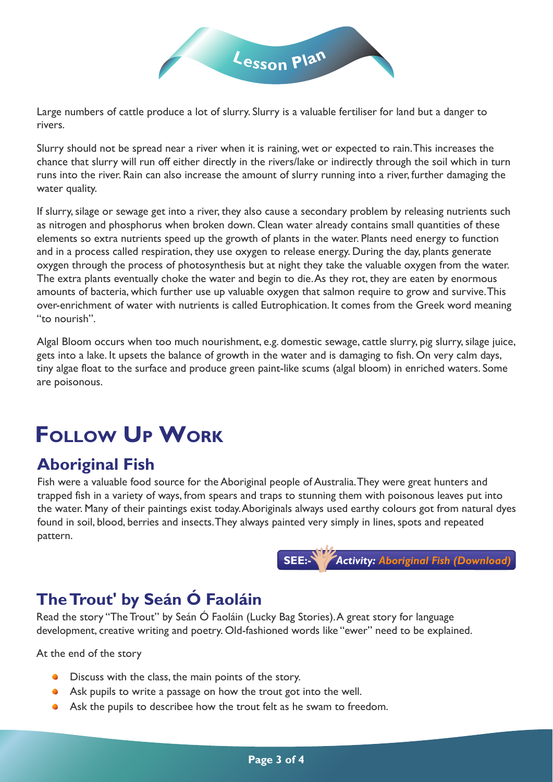

Large numbers of cattle produce a lot of slurry. Slurry is a valuable fertiliser for land but a danger to rivers.

Slurry should not be spread near a river when it is raining, wet or expected to rain. This increases the chance that slurry will run off either directly in the rivers/lake or indirectly through the soil which in turn runs into the river. Rain can also increase the amount of slurry running into a river, further damaging the water quality.

If slurry, silage or sewage get into a river, they also cause a secondary problem by releasing nutrients such as nitrogen and phosphorus when broken down. Clean water already contains small quantities of these elements so extra nutrients speed up the growth of plants in the water. Plants need energy to function and in a process called respiration, they use oxygen to release energy. During the day, plants generate oxygen through the process of photosynthesis but at night they take the valuable oxygen from the water. The extra plants eventually choke the water and begin to die. As they rot, they are eaten by enormous amounts of bacteria, which further use up valuable oxygen that salmon require to grow and survive. This over-enrichment of water with nutrients is called Eutrophication. It comes from the Greek word meaning "to nourish".

Algal Bloom occurs when too much nourishment, e.g. domestic sewage, cattle slurry, pig slurry, silage juice, gets into a lake. It upsets the balance of growth in the water and is damaging to fish. On very calm days, tiny algae float to the surface and produce green paint-like scums (algal bloom) in enriched waters. Some are poisonous.

# **FOLLOW UP WORK**

### **Aboriginal Fish**

Fish were a valuable food source for the Aboriginal people of Australia. They were great hunters and trapped fish in a variety of ways, from spears and traps to stunning them with poisonous leaves put into the water. Many of their paintings exist today. Aboriginals always used earthy colours got from natural dyes found in soil, blood, berries and insects. They always painted very simply in lines, spots and repeated pattern.



### **The Trout' by Seán Ó Faoláin**

Read the story "The Trout" by Seán Ó Faoláin (Lucky Bag Stories). A great story for language development, creative writing and poetry. Old-fashioned words like "ewer" need to be explained.

At the end of the story

- **O** Discuss with the class, the main points of the story.
- Ask pupils to write a passage on how the trout got into the well.
- Ask the pupils to describee how the trout felt as he swam to freedom.